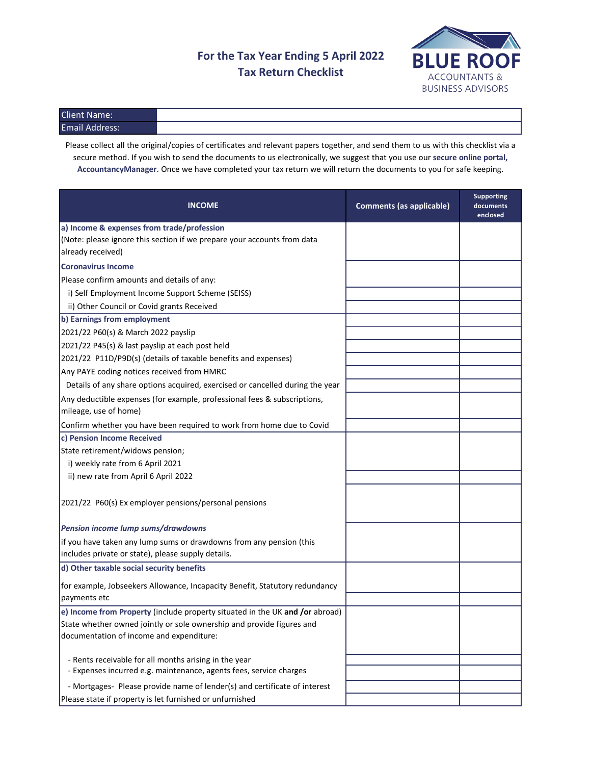## **Tax Return Checklist For the Tax Year Ending 5 April 2022**



| <b>Email Address:</b> |  |
|-----------------------|--|

Please collect all the original/copies of certificates and relevant papers together, and send them to us with this checklist via a secure method. If you wish to send the documents to us electronically, we suggest that you use our **secure online portal, AccountancyManager**. Once we have completed your tax return we will return the documents to you for safe keeping.

| <b>INCOME</b>                                                                                                             | <b>Comments (as applicable)</b> | <b>Supporting</b><br>documents<br>enclosed |
|---------------------------------------------------------------------------------------------------------------------------|---------------------------------|--------------------------------------------|
| a) Income & expenses from trade/profession<br>(Note: please ignore this section if we prepare your accounts from data     |                                 |                                            |
| already received)                                                                                                         |                                 |                                            |
| <b>Coronavirus Income</b>                                                                                                 |                                 |                                            |
| Please confirm amounts and details of any:                                                                                |                                 |                                            |
| i) Self Employment Income Support Scheme (SEISS)                                                                          |                                 |                                            |
| ii) Other Council or Covid grants Received                                                                                |                                 |                                            |
| b) Earnings from employment                                                                                               |                                 |                                            |
| 2021/22 P60(s) & March 2022 payslip                                                                                       |                                 |                                            |
| 2021/22 P45(s) & last payslip at each post held                                                                           |                                 |                                            |
| 2021/22 P11D/P9D(s) (details of taxable benefits and expenses)                                                            |                                 |                                            |
| Any PAYE coding notices received from HMRC                                                                                |                                 |                                            |
| Details of any share options acquired, exercised or cancelled during the year                                             |                                 |                                            |
| Any deductible expenses (for example, professional fees & subscriptions,<br>mileage, use of home)                         |                                 |                                            |
| Confirm whether you have been required to work from home due to Covid                                                     |                                 |                                            |
| c) Pension Income Received                                                                                                |                                 |                                            |
| State retirement/widows pension;                                                                                          |                                 |                                            |
| i) weekly rate from 6 April 2021                                                                                          |                                 |                                            |
| ii) new rate from April 6 April 2022                                                                                      |                                 |                                            |
|                                                                                                                           |                                 |                                            |
| 2021/22 P60(s) Ex employer pensions/personal pensions                                                                     |                                 |                                            |
| Pension income lump sums/drawdowns                                                                                        |                                 |                                            |
| if you have taken any lump sums or drawdowns from any pension (this<br>includes private or state), please supply details. |                                 |                                            |
| d) Other taxable social security benefits                                                                                 |                                 |                                            |
| for example, Jobseekers Allowance, Incapacity Benefit, Statutory redundancy                                               |                                 |                                            |
| payments etc                                                                                                              |                                 |                                            |
| e) Income from Property (include property situated in the UK and /or abroad)                                              |                                 |                                            |
| State whether owned jointly or sole ownership and provide figures and<br>documentation of income and expenditure:         |                                 |                                            |
|                                                                                                                           |                                 |                                            |
| - Rents receivable for all months arising in the year                                                                     |                                 |                                            |
| - Expenses incurred e.g. maintenance, agents fees, service charges                                                        |                                 |                                            |
| - Mortgages- Please provide name of lender(s) and certificate of interest                                                 |                                 |                                            |
| Please state if property is let furnished or unfurnished                                                                  |                                 |                                            |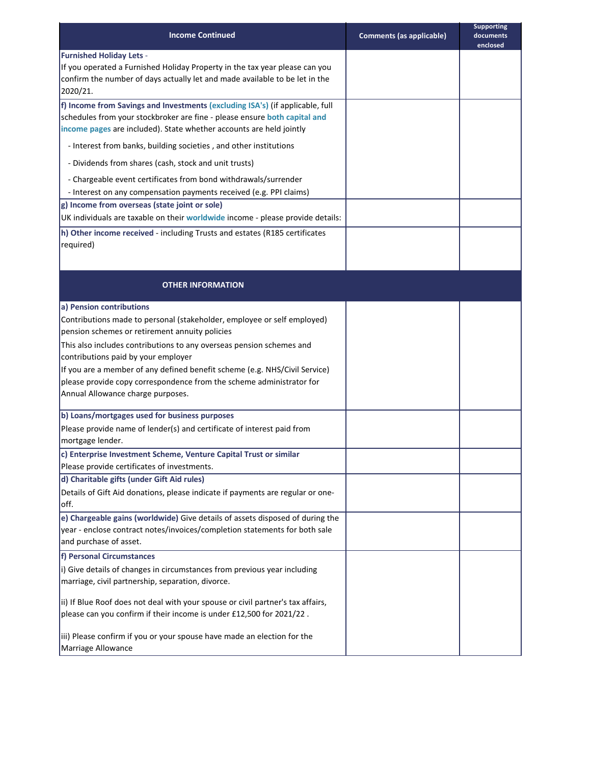| <b>Income Continued</b>                                                                                                                                                                                                           | <b>Comments (as applicable)</b> | <b>Supporting</b><br>documents<br>enclosed |
|-----------------------------------------------------------------------------------------------------------------------------------------------------------------------------------------------------------------------------------|---------------------------------|--------------------------------------------|
| <b>Furnished Holiday Lets -</b><br>If you operated a Furnished Holiday Property in the tax year please can you<br>confirm the number of days actually let and made available to be let in the<br>2020/21.                         |                                 |                                            |
| f) Income from Savings and Investments (excluding ISA's) (if applicable, full<br>schedules from your stockbroker are fine - please ensure both capital and<br>income pages are included). State whether accounts are held jointly |                                 |                                            |
| - Interest from banks, building societies, and other institutions                                                                                                                                                                 |                                 |                                            |
| - Dividends from shares (cash, stock and unit trusts)                                                                                                                                                                             |                                 |                                            |
| - Chargeable event certificates from bond withdrawals/surrender<br>- Interest on any compensation payments received (e.g. PPI claims)                                                                                             |                                 |                                            |
| g) Income from overseas (state joint or sole)                                                                                                                                                                                     |                                 |                                            |
| UK individuals are taxable on their worldwide income - please provide details:                                                                                                                                                    |                                 |                                            |
| h) Other income received - including Trusts and estates (R185 certificates<br>required)                                                                                                                                           |                                 |                                            |
| <b>OTHER INFORMATION</b>                                                                                                                                                                                                          |                                 |                                            |
| a) Pension contributions                                                                                                                                                                                                          |                                 |                                            |
| Contributions made to personal (stakeholder, employee or self employed)<br>pension schemes or retirement annuity policies                                                                                                         |                                 |                                            |
| This also includes contributions to any overseas pension schemes and                                                                                                                                                              |                                 |                                            |
| contributions paid by your employer                                                                                                                                                                                               |                                 |                                            |
| If you are a member of any defined benefit scheme (e.g. NHS/Civil Service)                                                                                                                                                        |                                 |                                            |
| please provide copy correspondence from the scheme administrator for<br>Annual Allowance charge purposes.                                                                                                                         |                                 |                                            |
| b) Loans/mortgages used for business purposes                                                                                                                                                                                     |                                 |                                            |
| Please provide name of lender(s) and certificate of interest paid from<br>mortgage lender.                                                                                                                                        |                                 |                                            |
| c) Enterprise Investment Scheme, Venture Capital Trust or similar                                                                                                                                                                 |                                 |                                            |
| Please provide certificates of investments.                                                                                                                                                                                       |                                 |                                            |
| d) Charitable gifts (under Gift Aid rules)                                                                                                                                                                                        |                                 |                                            |
| Details of Gift Aid donations, please indicate if payments are regular or one-<br>off.                                                                                                                                            |                                 |                                            |
| e) Chargeable gains (worldwide) Give details of assets disposed of during the<br>year - enclose contract notes/invoices/completion statements for both sale<br>and purchase of asset.                                             |                                 |                                            |
| f) Personal Circumstances                                                                                                                                                                                                         |                                 |                                            |
| i) Give details of changes in circumstances from previous year including<br>marriage, civil partnership, separation, divorce.                                                                                                     |                                 |                                            |
| ii) If Blue Roof does not deal with your spouse or civil partner's tax affairs,<br>please can you confirm if their income is under £12,500 for 2021/22.                                                                           |                                 |                                            |
| iii) Please confirm if you or your spouse have made an election for the<br>Marriage Allowance                                                                                                                                     |                                 |                                            |